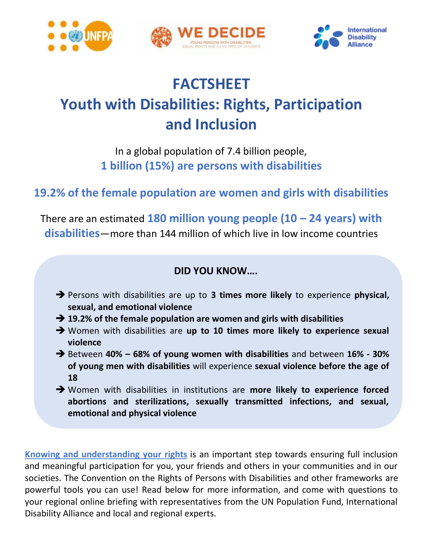





# **FACTSHEET Youth with Disabilities: Rights, Participation and Inclusion**

In a global population of 7.4 billion people, **1 billion (15%) are persons with disabilities**

# **19.2% of the female population are women and girls with disabilities**

There are an estimated **180 million young people (10 – 24 years) with disabilities**—more than 144 million of which live in low income countries

## **DID YOU KNOW….**

- Persons with disabilities are up to **3 times more likely** to experience **physical, sexual, and emotional violence**
- **→ 19.2% of the female population are women and girls with disabilities**
- Women with disabilities are **up to 10 times more likely to experience sexual violence**
- Between **40% – 68% of young women with disabilities** and between **16% - 30% of young men with disabilities** will experience **sexual violence before the age of 18**
- Women with disabilities in institutions are **more likely to experience forced abortions and sterilizations, sexually transmitted infections, and sexual, emotional and physical violence**

**Knowing and understanding your rights** is an important step towards ensuring full inclusion and meaningful participation for you, your friends and others in your communities and in our societies. The Convention on the Rights of Persons with Disabilities and other frameworks are powerful tools you can use! Read below for more information, and come with questions to your regional online briefing with representatives from the UN Population Fund, International Disability Alliance and local and regional experts.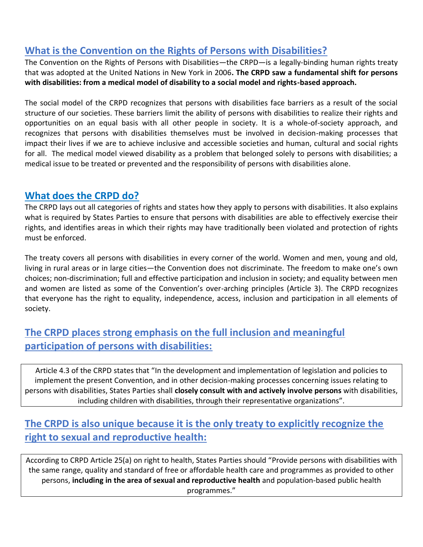## **What is the Convention on the Rights of Persons with Disabilities?**

The Convention on the Rights of Persons with Disabilities—the CRPD—is a legally-binding human rights treaty that was adopted at the United Nations in New York in 2006**. The CRPD saw a fundamental shift for persons with disabilities: from a medical model of disability to a social model and rights-based approach.**

The social model of the CRPD recognizes that persons with disabilities face barriers as a result of the social structure of our societies. These barriers limit the ability of persons with disabilities to realize their rights and opportunities on an equal basis with all other people in society. It is a whole-of-society approach, and recognizes that persons with disabilities themselves must be involved in decision-making processes that impact their lives if we are to achieve inclusive and accessible societies and human, cultural and social rights for all. The medical model viewed disability as a problem that belonged solely to persons with disabilities; a medical issue to be treated or prevented and the responsibility of persons with disabilities alone.

### **What does the CRPD do?**

The CRPD lays out all categories of rights and states how they apply to persons with disabilities. It also explains what is required by States Parties to ensure that persons with disabilities are able to effectively exercise their rights, and identifies areas in which their rights may have traditionally been violated and protection of rights must be enforced.

The treaty covers all persons with disabilities in every corner of the world. Women and men, young and old, living in rural areas or in large cities—the Convention does not discriminate. The freedom to make one's own choices; non-discrimination; full and effective participation and inclusion in society; and equality between men and women are listed as some of the Convention's over-arching principles (Article 3). The CRPD recognizes that everyone has the right to equality, independence, access, inclusion and participation in all elements of society.

## **The CRPD places strong emphasis on the full inclusion and meaningful participation of persons with disabilities:**

Article 4.3 of the CRPD states that "In the development and implementation of legislation and policies to implement the present Convention, and in other decision-making processes concerning issues relating to persons with disabilities, States Parties shall **closely consult with and actively involve persons** with disabilities, including children with disabilities, through their representative organizations".

# **The CRPD is also unique because it is the only treaty to explicitly recognize the right to sexual and reproductive health:**

According to CRPD Article 25(a) on right to health, States Parties should "Provide persons with disabilities with the same range, quality and standard of free or affordable health care and programmes as provided to other persons, **including in the area of sexual and reproductive health** and population-based public health programmes."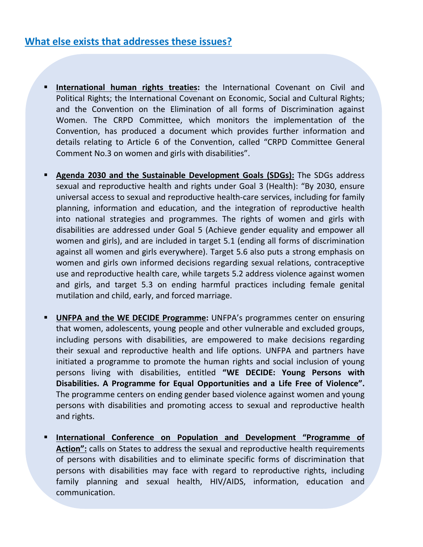- **International human rights treaties:** the International Covenant on Civil and Political Rights; the International Covenant on Economic, Social and Cultural Rights; and the Convention on the Elimination of all forms of Discrimination against Women. The CRPD Committee, which monitors the implementation of the Convention, has produced a document which provides further information and details relating to Article 6 of the Convention, called "CRPD Committee General Comment No.3 on women and girls with disabilities".
- **Agenda 2030 and the Sustainable Development Goals (SDGs):** The SDGs address sexual and reproductive health and rights under Goal 3 (Health): "By 2030, ensure universal access to sexual and reproductive health-care services, including for family planning, information and education, and the integration of reproductive health into national strategies and programmes. The rights of women and girls with disabilities are addressed under Goal 5 (Achieve gender equality and empower all women and girls), and are included in target 5.1 (ending all forms of discrimination against all women and girls everywhere). Target 5.6 also puts a strong emphasis on women and girls own informed decisions regarding sexual relations, contraceptive use and reproductive health care, while targets 5.2 address violence against women and girls, and target 5.3 on ending harmful practices including female genital mutilation and child, early, and forced marriage.
- **UNFPA and the WE DECIDE Programme:** UNFPA's programmes center on ensuring that women, adolescents, young people and other vulnerable and excluded groups, including persons with disabilities, are empowered to make decisions regarding their sexual and reproductive health and life options. UNFPA and partners have initiated a programme to promote the human rights and social inclusion of young persons living with disabilities, entitled **"WE DECIDE: Young Persons with Disabilities. A Programme for Equal Opportunities and a Life Free of Violence".** The programme centers on ending gender based violence against women and young persons with disabilities and promoting access to sexual and reproductive health and rights.
- **International Conference on Population and Development "Programme of Action":** calls on States to address the sexual and reproductive health requirements of persons with disabilities and to eliminate specific forms of discrimination that persons with disabilities may face with regard to reproductive rights, including family planning and sexual health, HIV/AIDS, information, education and communication.